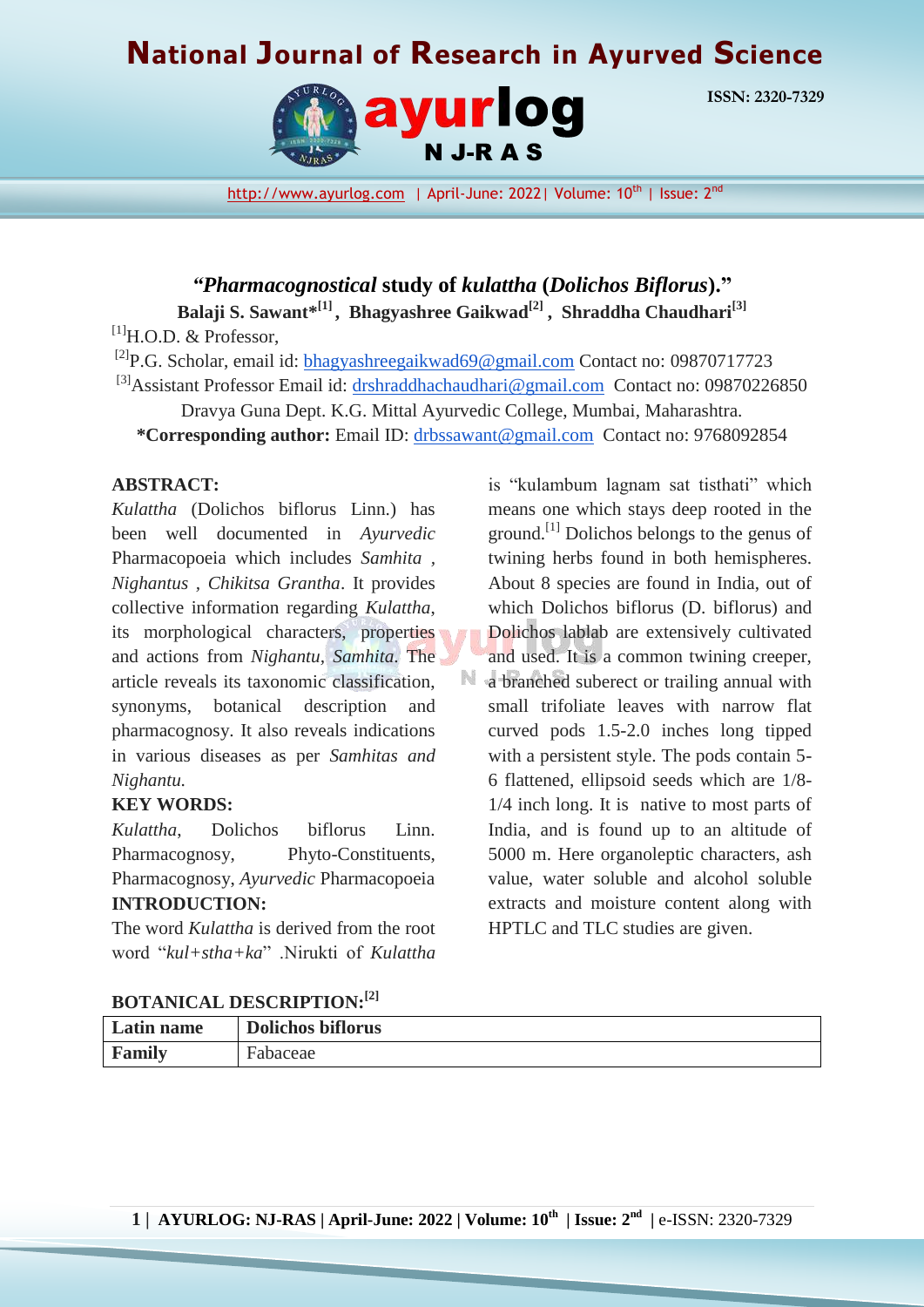# **National Journal of Research in Ayurved Science**



**ISSN: 2320-7329**

[http://www.ayurlog.com](http://www.ayurlog.com/) | April-June: 2022| Volume: 10<sup>th</sup> | Issue: 2<sup>nd</sup>

*"Pharmacognostical* **study of** *kulattha* **(***Dolichos Biflorus***)." Balaji S. Sawant\* [1] , Bhagyashree Gaikwad[2] , Shraddha Chaudhari[3]**

 $^{[1]}$ H.O.D. & Professor,

<sup>[2]</sup>P.G. Scholar, email id: [bhagyashreegaikwad69@gmail.com](mailto:bhagyashreegaikwad69@gmail.com) Contact no: 09870717723

<sup>[3]</sup>Assistant Professor Email id: [drshraddhachaudhari@gmail.com](mailto:drshraddhachaudhari@gmail.com) Contact no: 09870226850

Dravya Guna Dept. K.G. Mittal Ayurvedic College, Mumbai, Maharashtra.

**\*Corresponding author:** Email ID: [drbssawant@gmail.com](mailto:drbssawant@gmail.com) Contact no: 9768092854

N

#### **ABSTRACT:**

*Kulattha* (Dolichos biflorus Linn.) has been well documented in *Ayurvedic* Pharmacopoeia which includes *Samhita , Nighantus , Chikitsa Grantha*. It provides collective information regarding *Kulattha*, its morphological characters, properties and actions from *Nighantu, Samhita*. The article reveals its taxonomic classification, synonyms, botanical description and pharmacognosy. It also reveals indications in various diseases as per *Samhitas and Nighantu.*

#### **KEY WORDS:**

*Kulattha*, Dolichos biflorus Linn. Pharmacognosy, Phyto-Constituents, Pharmacognosy, *Ayurvedic* Pharmacopoeia **INTRODUCTION:**

The word *Kulattha* is derived from the root word "*kul+stha+ka*" .Nirukti of *Kulattha*

is "kulambum lagnam sat tisthati" which means one which stays deep rooted in the ground.<sup>[1]</sup> Dolichos belongs to the genus of twining herbs found in both hemispheres. About 8 species are found in India, out of which Dolichos biflorus (D. biflorus) and Dolichos lablab are extensively cultivated and used. It is a common twining creeper, a branched suberect or trailing annual with small trifoliate leaves with narrow flat curved pods 1.5-2.0 inches long tipped with a persistent style. The pods contain 5- 6 flattened, ellipsoid seeds which are 1/8- 1/4 inch long. It is native to most parts of India, and is found up to an altitude of 5000 m. Here organoleptic characters, ash value, water soluble and alcohol soluble extracts and moisture content along with HPTLC and TLC studies are given.

#### **BOTANICAL DESCRIPTION:[2]**

| Latin name | <b>Dolichos biflorus</b> |
|------------|--------------------------|
| Family     | Fabaceae                 |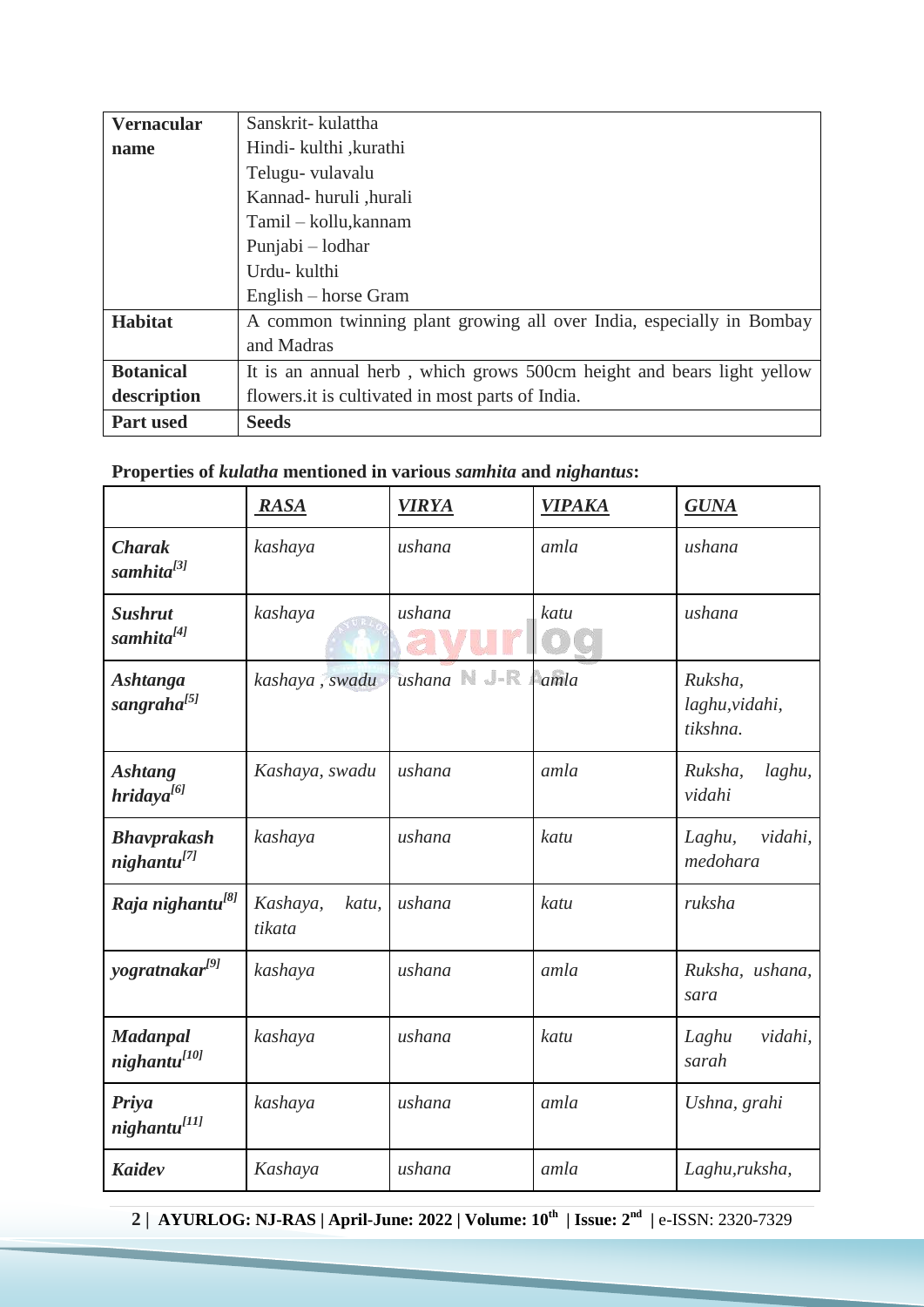| <b>Vernacular</b> | Sanskrit-kulattha                                                     |
|-------------------|-----------------------------------------------------------------------|
| name              | Hindi- kulthi , kurathi                                               |
|                   | Telugu-vulavalu                                                       |
|                   | Kannad-huruli, hurali                                                 |
|                   | Tamil – kollu, kannam                                                 |
|                   | Punjabi – lodhar                                                      |
|                   | Urdu- kulthi                                                          |
|                   | English – horse Gram                                                  |
| <b>Habitat</b>    | A common twinning plant growing all over India, especially in Bombay  |
|                   | and Madras                                                            |
| <b>Botanical</b>  | It is an annual herb, which grows 500cm height and bears light yellow |
| description       | flowers it is cultivated in most parts of India.                      |
| <b>Part used</b>  | <b>Seeds</b>                                                          |

## **Properties of** *kulatha* **mentioned in various** *samhita* **and** *nighantus***:**

|                                             | <b>RASA</b>                 | <b>VIRYA</b>    | <b>VIPAKA</b> | <b>GUNA</b>                           |
|---------------------------------------------|-----------------------------|-----------------|---------------|---------------------------------------|
| <b>Charak</b><br>samhita <sup>[3]</sup>     | kashaya                     | ushana          | amla          | ushana                                |
| <b>Sushrut</b><br>samhita <sup>[4]</sup>    | kashaya                     | ushana          | katu          | ushana                                |
| <b>Ashtanga</b><br>sangraha <sup>[5]</sup>  | kashaya, swadu              | ushana New amla |               | Ruksha,<br>laghu, vidahi,<br>tikshna. |
| <b>Ashtang</b><br>hridaya <sup>[6]</sup>    | Kashaya, swadu              | ushana          | amla          | laghu,<br>Ruksha,<br>vidahi           |
| <b>Bhavprakash</b><br>nighta <sup>[7]</sup> | kashaya                     | ushana          | katu          | Laghu,<br>vidahi,<br>medohara         |
| Raja nighantu <sup>[8]</sup>                | Kashaya,<br>katu,<br>tikata | ushana          | katu          | ruksha                                |
| yogratnakar <sup>[9]</sup>                  | kashaya                     | ushana          | amla          | Ruksha, ushana,<br>sara               |
| <b>Madanpal</b><br>night                    | kashaya                     | ushana          | katu          | vidahi,<br>Laghu<br>sarah             |
| Priya<br>nighantu <sup>[11]</sup>           | kashaya                     | ushana          | amla          | Ushna, grahi                          |
| <b>Kaidev</b>                               | Kashaya                     | ushana          | amla          | Laghu, ruksha,                        |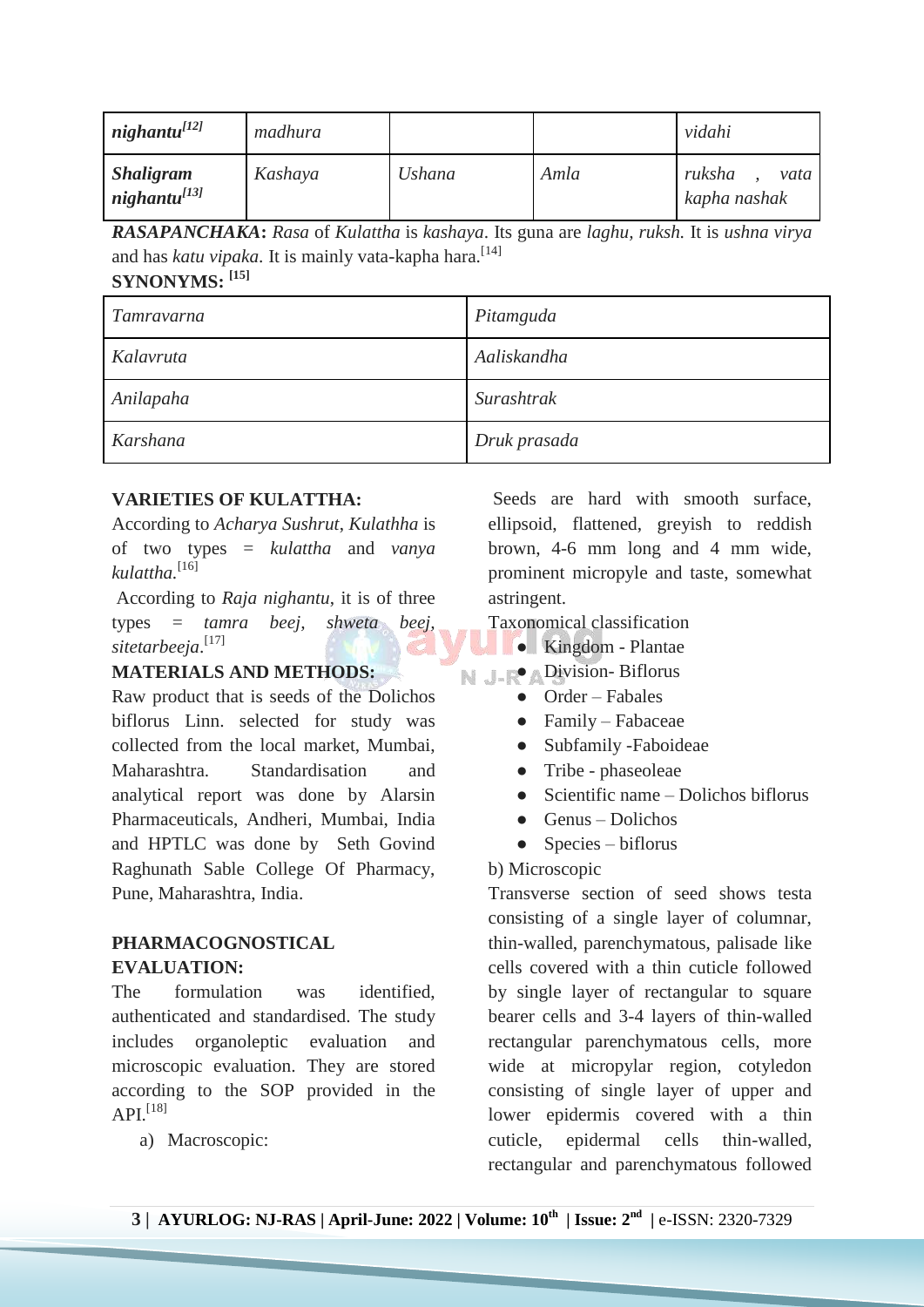| night                     | madhura |               |      | vidahi                         |
|---------------------------|---------|---------------|------|--------------------------------|
| <b>Shaligram</b><br>night | Kashaya | <b>Ushana</b> | Amla | ruksha<br>vata<br>kapha nashak |

*RASAPANCHAKA***:** *Rasa* of *Kulattha* is *kashaya*. Its guna are *laghu, ruksh.* It is *ushna virya* and has *katu vipaka*. It is mainly vata-kapha hara.<sup>[14]</sup> **SYNONYMS: [15]**

| Tamravarna | Pitamguda    |
|------------|--------------|
| Kalavruta  | Aaliskandha  |
| Anilapaha  | Surashtrak   |
| Karshana   | Druk prasada |

## **VARIETIES OF KULATTHA:**

According to *Acharya Sushrut*, *Kulathha* is of two types = *kulattha* and *vanya kulattha.*[16]

According to *Raja nighantu*, it is of three types = *tamra beej, shweta beej, sitetarbeeja*. [17]

## **MATERIALS AND METHODS:**

Raw product that is seeds of the Dolichos biflorus Linn. selected for study was collected from the local market, Mumbai, Maharashtra. Standardisation and analytical report was done by Alarsin Pharmaceuticals, Andheri, Mumbai, India and HPTLC was done by Seth Govind Raghunath Sable College Of Pharmacy, Pune, Maharashtra, India.

## **PHARMACOGNOSTICAL EVALUATION:**

The formulation was identified, authenticated and standardised. The study includes organoleptic evaluation and microscopic evaluation. They are stored according to the SOP provided in the  $API^{[18]}$ 

a) Macroscopic:

Seeds are hard with smooth surface, ellipsoid, flattened, greyish to reddish brown, 4-6 mm long and 4 mm wide, prominent micropyle and taste, somewhat astringent.

Taxonomical classification

- Kingdom Plantae
- $\mathbb N$  J  $\mathbb R$   $\Lambda$  Division- Biflorus
	- Order Fabales
	- Family Fabaceae
	- Subfamily -Faboideae
	- Tribe phaseoleae
	- $\bullet$  Scientific name Dolichos biflorus
	- $\bullet$  Genus Dolichos
	- $\bullet$  Species biflorus

## b) Microscopic

Transverse section of seed shows testa consisting of a single layer of columnar, thin-walled, parenchymatous, palisade like cells covered with a thin cuticle followed by single layer of rectangular to square bearer cells and 3-4 layers of thin-walled rectangular parenchymatous cells, more wide at micropylar region, cotyledon consisting of single layer of upper and lower epidermis covered with a thin cuticle, epidermal cells thin-walled, rectangular and parenchymatous followed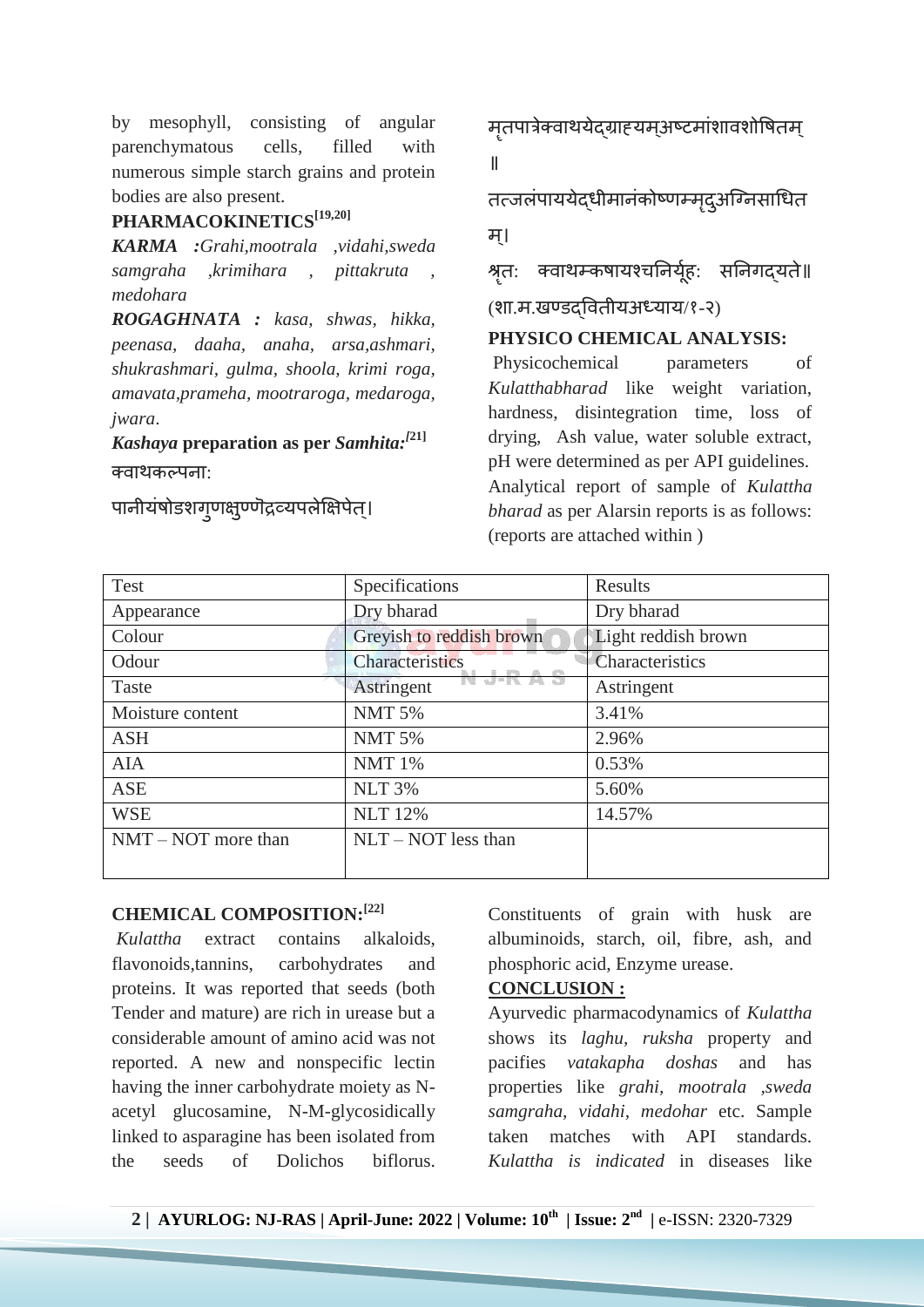by mesophyll, consisting of angular parenchymatous cells, filled with numerous simple starch grains and protein bodies are also present.

## **PHARMACOKINETICS[19,20]**

*KARMA :Grahi,mootrala ,vidahi,sweda samgraha ,krimihara , pittakruta , medohara*

*ROGAGHNATA : kasa, shwas, hikka, peenasa, daaha, anaha, arsa,ashmari, shukrashmari, gulma, shoola, krimi roga, amavata,prameha, mootraroga, medaroga, jwara*.

*Kashaya* **preparation as per** *Samhita:[***21]** क्वाथकल्पना:

पानीयंषोडशगृणक्षुण्णॆ द्रव्यपलेक्षिपेत्।

मृतपात्रेक्वाथयेदग्राह्यमअष्टमांशावशोषितम् ॥

तत्जलंपाययेदधीमानंकोष्णम्मदुअग्निसाधित म।्

श्रृतः क्वाथम्कषायश्चनिर्यूहः सनिगद्यते॥

(शा.म.खण्डद्ग्षवतीयअध्याय/१-२)

#### **PHYSICO CHEMICAL ANALYSIS:**

Physicochemical parameters of *Kulatthabharad* like weight variation, hardness, disintegration time, loss of drying, Ash value, water soluble extract, pH were determined as per API guidelines. Analytical report of sample of *Kulattha bharad* as per Alarsin reports is as follows: (reports are attached within )

| Test                  | Specifications                                     | Results             |
|-----------------------|----------------------------------------------------|---------------------|
| Appearance            | Dry bharad                                         | Dry bharad          |
| Colour                | Greyish to reddish brown                           | Light reddish brown |
| Odour                 | <b>Characteristics</b>                             | Characteristics     |
| Taste                 | $\alpha \equiv \alpha \equiv \alpha$<br>Astringent | Astringent          |
| Moisture content      | <b>NMT 5%</b>                                      | 3.41%               |
| <b>ASH</b>            | <b>NMT 5%</b>                                      | 2.96%               |
| <b>AIA</b>            | <b>NMT 1%</b>                                      | 0.53%               |
| <b>ASE</b>            | <b>NLT 3%</b>                                      | 5.60%               |
| <b>WSE</b>            | <b>NLT</b> 12%                                     | 14.57%              |
| $NMT - NOT$ more than | $NLT - NOT$ less than                              |                     |
|                       |                                                    |                     |

### **CHEMICAL COMPOSITION:[22]**

*Kulattha* extract contains alkaloids, flavonoids,tannins, carbohydrates and proteins. It was reported that seeds (both Tender and mature) are rich in urease but a considerable amount of amino acid was not reported. A new and nonspecific lectin having the inner carbohydrate moiety as Nacetyl glucosamine, N-M-glycosidically linked to asparagine has been isolated from the seeds of Dolichos biflorus.

Constituents of grain with husk are albuminoids, starch, oil, fibre, ash, and phosphoric acid, Enzyme urease.

#### **CONCLUSION :**

Ayurvedic pharmacodynamics of *Kulattha*  shows its *laghu, ruksha* property and pacifies *vatakapha doshas* and has properties like *grahi, mootrala ,sweda samgraha, vidahi, medohar* etc. Sample taken matches with API standards. *Kulattha is indicated* in diseases like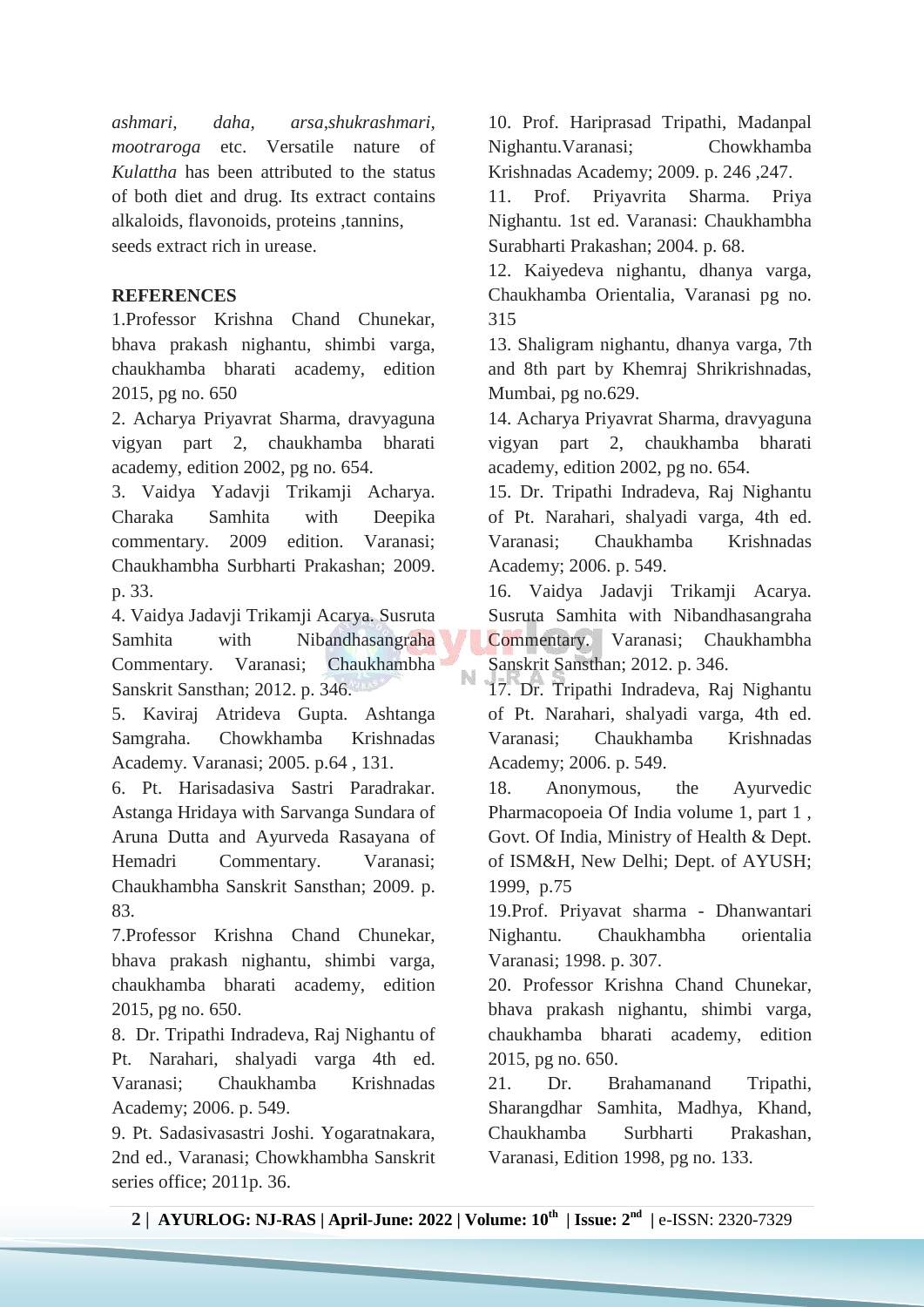*ashmari, daha, arsa,shukrashmari, mootraroga* etc. Versatile nature of *Kulattha* has been attributed to the status of both diet and drug. Its extract contains alkaloids, flavonoids, proteins ,tannins, seeds extract rich in urease.

#### **REFERENCES**

1.Professor Krishna Chand Chunekar, bhava prakash nighantu, shimbi varga, chaukhamba bharati academy, edition 2015, pg no. 650

2. Acharya Priyavrat Sharma, dravyaguna vigyan part 2, chaukhamba bharati academy, edition 2002, pg no. 654.

3. Vaidya Yadavji Trikamji Acharya. Charaka Samhita with Deepika commentary. 2009 edition. Varanasi; Chaukhambha Surbharti Prakashan; 2009. p. 33.

4. Vaidya Jadavji Trikamji Acarya. Susruta Samhita with Nibandhasangraha Commentary. Varanasi; Chaukhambha Sanskrit Sansthan; 2012. p. 346.

5. Kaviraj Atrideva Gupta. Ashtanga Samgraha. Chowkhamba Krishnadas Academy. Varanasi; 2005. p.64 , 131.

6. Pt. Harisadasiva Sastri Paradrakar. Astanga Hridaya with Sarvanga Sundara of Aruna Dutta and Ayurveda Rasayana of Hemadri Commentary. Varanasi; Chaukhambha Sanskrit Sansthan; 2009. p. 83.

7.Professor Krishna Chand Chunekar, bhava prakash nighantu, shimbi varga, chaukhamba bharati academy, edition 2015, pg no. 650.

8. Dr. Tripathi Indradeva, Raj Nighantu of Pt. Narahari, shalyadi varga 4th ed. Varanasi; Chaukhamba Krishnadas Academy; 2006. p. 549.

9. Pt. Sadasivasastri Joshi. Yogaratnakara, 2nd ed., Varanasi; Chowkhambha Sanskrit series office; 2011p. 36.

10. Prof. Hariprasad Tripathi, Madanpal Nighantu.Varanasi; Chowkhamba Krishnadas Academy; 2009. p. 246 ,247.

11. Prof. Priyavrita Sharma. Priya Nighantu. 1st ed. Varanasi: Chaukhambha Surabharti Prakashan; 2004. p. 68.

12. Kaiyedeva nighantu, dhanya varga, Chaukhamba Orientalia, Varanasi pg no. 315

13. Shaligram nighantu, dhanya varga, 7th and 8th part by Khemraj Shrikrishnadas, Mumbai, pg no.629.

14. Acharya Priyavrat Sharma, dravyaguna vigyan part 2, chaukhamba bharati academy, edition 2002, pg no. 654.

15. Dr. Tripathi Indradeva, Raj Nighantu of Pt. Narahari, shalyadi varga, 4th ed. Varanasi; Chaukhamba Krishnadas Academy; 2006. p. 549.

16. Vaidya Jadavji Trikamji Acarya. Susruta Samhita with Nibandhasangraha Commentary. Varanasi; Chaukhambha Sanskrit Sansthan; 2012. p. 346.

17. Dr. Tripathi Indradeva, Raj Nighantu of Pt. Narahari, shalyadi varga, 4th ed. Varanasi; Chaukhamba Krishnadas Academy; 2006. p. 549.

18. Anonymous, the Ayurvedic Pharmacopoeia Of India volume 1, part 1 , Govt. Of India, Ministry of Health & Dept. of ISM&H, New Delhi; Dept. of AYUSH; 1999, p.75

19.Prof. Priyavat sharma - Dhanwantari Nighantu. Chaukhambha orientalia Varanasi; 1998. p. 307.

20. Professor Krishna Chand Chunekar, bhava prakash nighantu, shimbi varga, chaukhamba bharati academy, edition 2015, pg no. 650.

21. Dr. Brahamanand Tripathi, Sharangdhar Samhita, Madhya, Khand, Chaukhamba Surbharti Prakashan, Varanasi, Edition 1998, pg no. 133.

N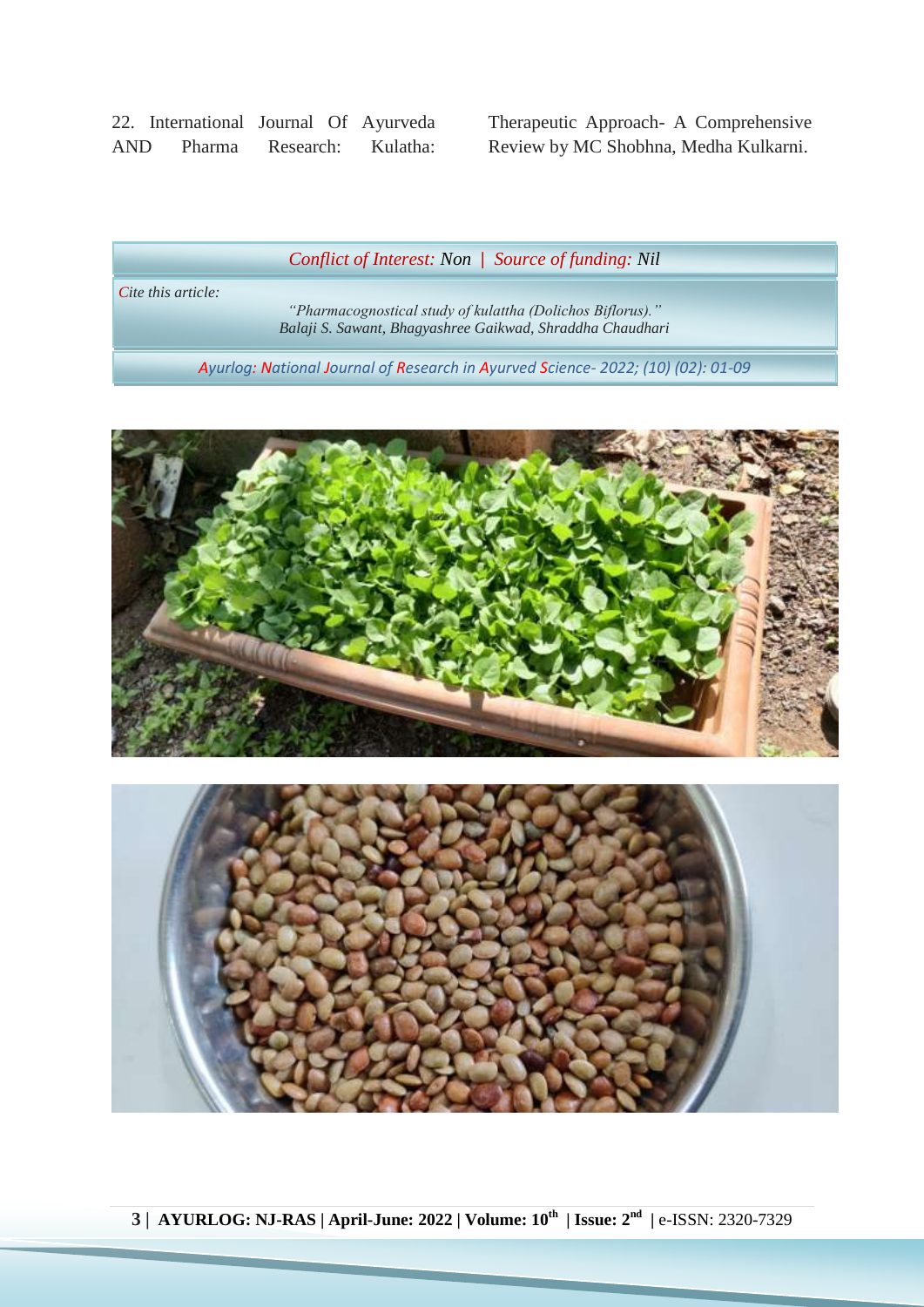22. International Journal Of Ayurveda AND Pharma Research: Kulatha: Therapeutic Approach- A Comprehensive Review by MC Shobhna, Medha Kulkarni.

*Conflict of Interest: Non | Source of funding: Nil*

*Cite this article:*

*"Pharmacognostical study of kulattha (Dolichos Biflorus)." Balaji S. Sawant, Bhagyashree Gaikwad, Shraddha Chaudhari*

*Ayurlog: National Journal of Research in Ayurved Science- 2022; (10) (02): 01-09*



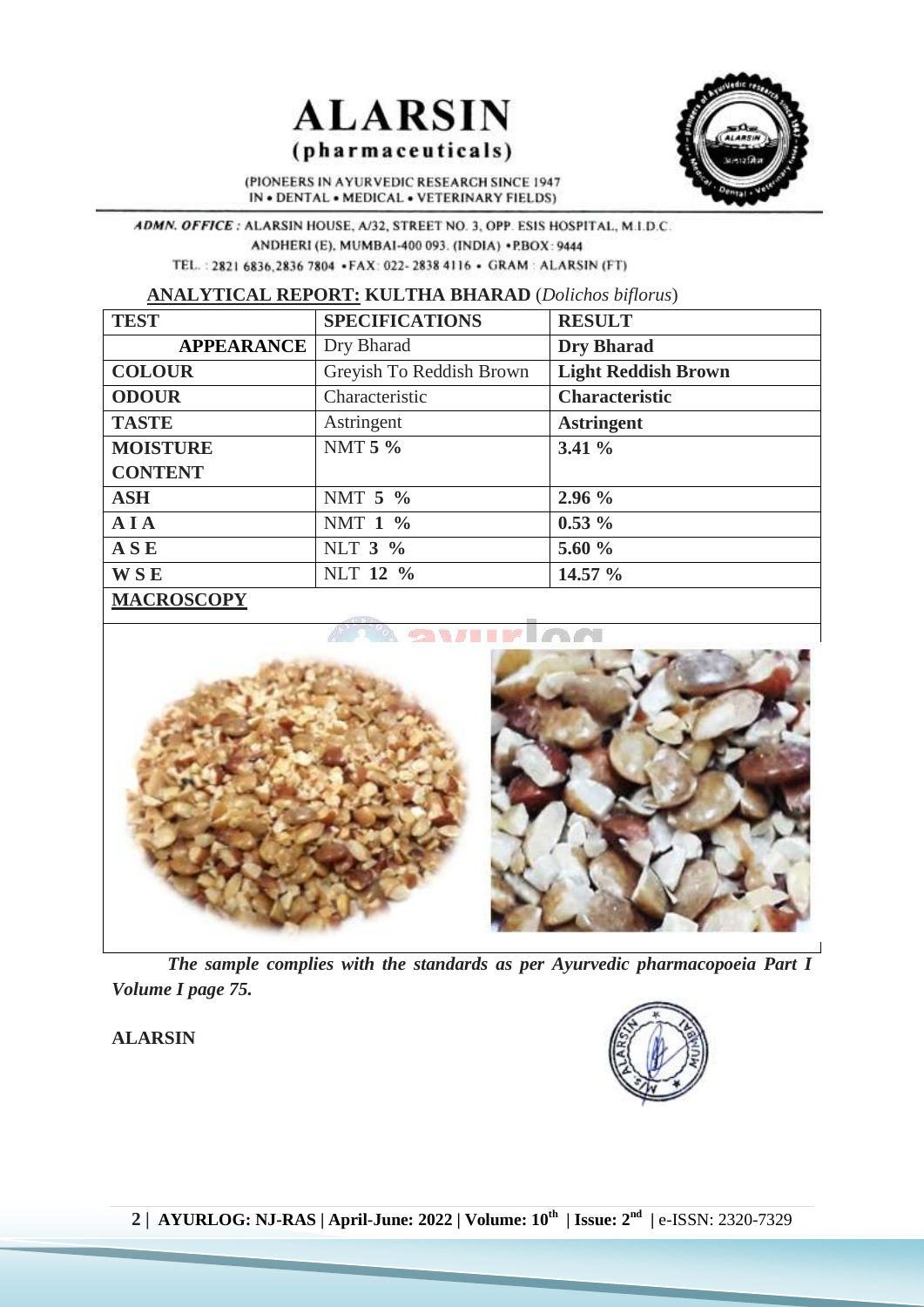



(PIONEERS IN AYURVEDIC RESEARCH SINCE 1947 IN . DENTAL . MEDICAL . VETERINARY FIELDS)

ADMN. OFFICE: ALARSIN HOUSE, A/32, STREET NO. 3, OPP. ESIS HOSPITAL, M.I.D.C. ANDHERI (E), MUMBAI-400 093. (INDIA) .PBOX: 9444 TEL.: 2821 6836,2836 7804 .FAX: 022-2838 4116 . GRAM: ALARSIN (FT)

**ANALYTICAL REPORT: KULTHA BHARAD** (*Dolichos biflorus*)

| <b>TEST</b>       | <b>SPECIFICATIONS</b>    | <b>RESULT</b>              |
|-------------------|--------------------------|----------------------------|
| <b>APPEARANCE</b> | Dry Bharad               | <b>Dry Bharad</b>          |
| <b>COLOUR</b>     | Greyish To Reddish Brown | <b>Light Reddish Brown</b> |
| <b>ODOUR</b>      | Characteristic           | <b>Characteristic</b>      |
| <b>TASTE</b>      | Astringent               | <b>Astringent</b>          |
| <b>MOISTURE</b>   | NMT 5 %                  | $3.41\%$                   |
| <b>CONTENT</b>    |                          |                            |
| <b>ASH</b>        | NMT 5 %                  | 2.96%                      |
| AIA               | NMT 1 %                  | $0.53\%$                   |
| ASE               | NLT 3 %                  | 5.60 $\%$                  |
| <b>WSE</b>        | NLT 12 %                 | 14.57 %                    |
| <b>MACROSCOPY</b> |                          |                            |



*The sample complies with the standards as per Ayurvedic pharmacopoeia Part I Volume I page 75.*

**ALARSIN**

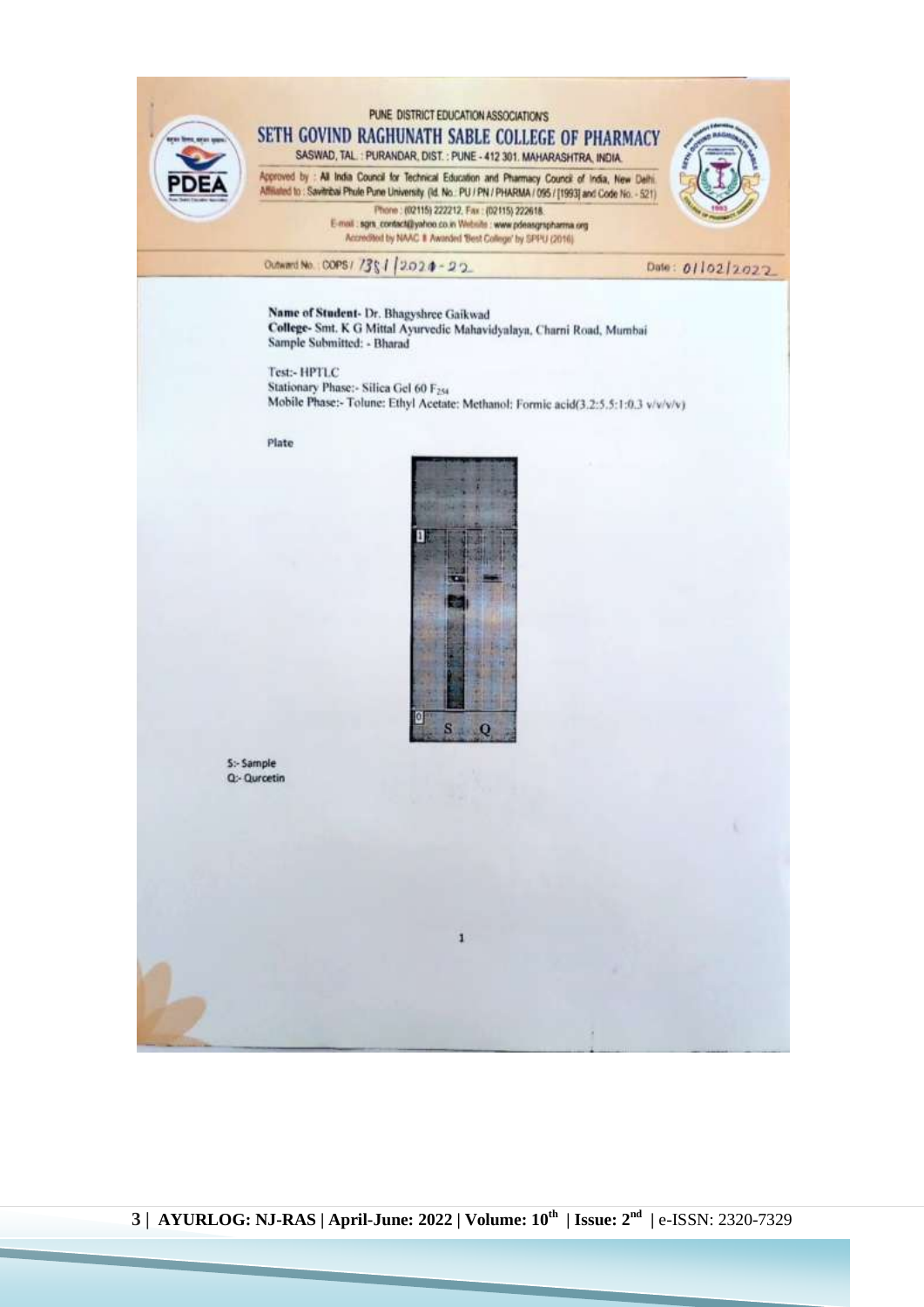



5:- Sample Q:- Qurcetin

**3 | AYURLOG: NJ-RAS | April-June: 2022 | Volume: 10th | Issue: 2nd |** e-ISSN: 2320-7329

1